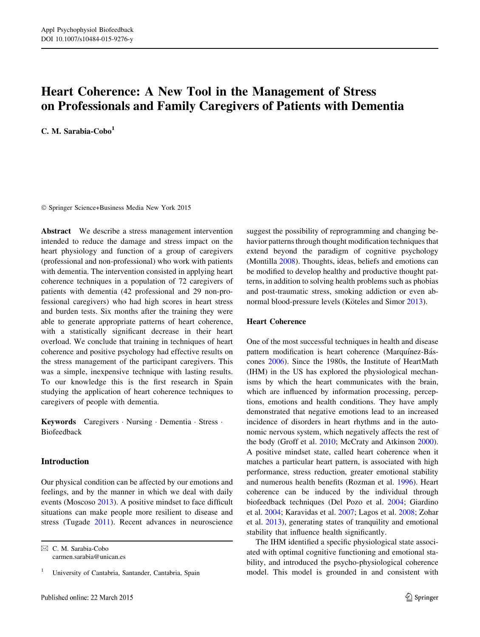# Heart Coherence: A New Tool in the Management of Stress on Professionals and Family Caregivers of Patients with Dementia

C. M. Sarabia-Cobo<sup>1</sup>

- Springer Science+Business Media New York 2015

Abstract We describe a stress management intervention intended to reduce the damage and stress impact on the heart physiology and function of a group of caregivers (professional and non-professional) who work with patients with dementia. The intervention consisted in applying heart coherence techniques in a population of 72 caregivers of patients with dementia (42 professional and 29 non-professional caregivers) who had high scores in heart stress and burden tests. Six months after the training they were able to generate appropriate patterns of heart coherence, with a statistically significant decrease in their heart overload. We conclude that training in techniques of heart coherence and positive psychology had effective results on the stress management of the participant caregivers. This was a simple, inexpensive technique with lasting results. To our knowledge this is the first research in Spain studying the application of heart coherence techniques to caregivers of people with dementia.

Keywords Caregivers - Nursing - Dementia - Stress - Biofeedback

## Introduction

Our physical condition can be affected by our emotions and feelings, and by the manner in which we deal with daily events (Moscoso [2013\)](#page-7-0). A positive mindset to face difficult situations can make people more resilient to disease and stress (Tugade [2011](#page-8-0)). Recent advances in neuroscience

& C. M. Sarabia-Cobo carmen.sarabia@unican.es suggest the possibility of reprogramming and changing behavior patterns through thought modification techniques that extend beyond the paradigm of cognitive psychology (Montilla [2008\)](#page-7-0). Thoughts, ideas, beliefs and emotions can be modified to develop healthy and productive thought patterns, in addition to solving health problems such as phobias and post-traumatic stress, smoking addiction or even ab-normal blood-pressure levels (Köteles and Simor [2013\)](#page-7-0).

## Heart Coherence

One of the most successful techniques in health and disease pattern modification is heart coherence (Marquínez-Báscones [2006\)](#page-7-0). Since the 1980s, the Institute of HeartMath (IHM) in the US has explored the physiological mechanisms by which the heart communicates with the brain, which are influenced by information processing, perceptions, emotions and health conditions. They have amply demonstrated that negative emotions lead to an increased incidence of disorders in heart rhythms and in the autonomic nervous system, which negatively affects the rest of the body (Groff et al. [2010;](#page-7-0) McCraty and Atkinson [2000](#page-7-0)). A positive mindset state, called heart coherence when it matches a particular heart pattern, is associated with high performance, stress reduction, greater emotional stability and numerous health benefits (Rozman et al. [1996\)](#page-7-0). Heart coherence can be induced by the individual through biofeedback techniques (Del Pozo et al. [2004](#page-7-0); Giardino et al. [2004;](#page-7-0) Karavidas et al. [2007;](#page-7-0) Lagos et al. [2008;](#page-7-0) Zohar et al. [2013\)](#page-8-0), generating states of tranquility and emotional stability that influence health significantly.

The IHM identified a specific physiological state associated with optimal cognitive functioning and emotional stability, and introduced the psycho-physiological coherence model. This model is grounded in and consistent with

<sup>1</sup> University of Cantabria, Santander, Cantabria, Spain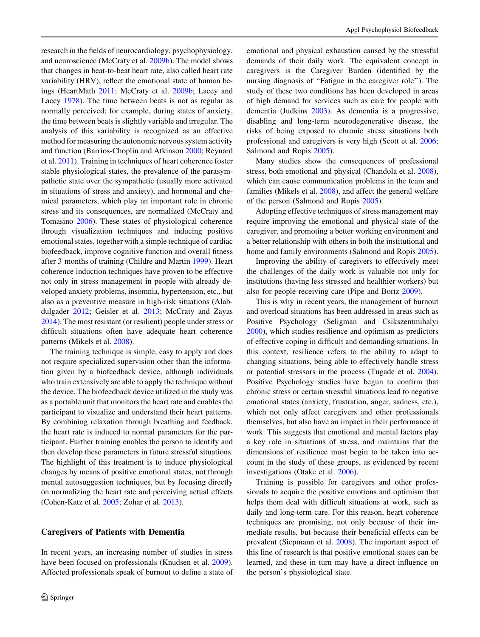research in the fields of neurocardiology, psychophysiology, and neuroscience (McCraty et al. [2009b\)](#page-7-0). The model shows that changes in beat-to-beat heart rate, also called heart rate variability (HRV), reflect the emotional state of human beings (HeartMath [2011](#page-7-0); McCraty et al. [2009b](#page-7-0); Lacey and Lacey [1978](#page-7-0)). The time between beats is not as regular as normally perceived; for example, during states of anxiety, the time between beats is slightly variable and irregular. The analysis of this variability is recognized as an effective method for measuring the autonomic nervous system activity and function (Barrios-Choplin and Atkinson [2000](#page-6-0); Reynard et al. [2011](#page-7-0)). Training in techniques of heart coherence foster stable physiological states, the prevalence of the parasympathetic state over the sympathetic (usually more activated in situations of stress and anxiety), and hormonal and chemical parameters, which play an important role in chronic stress and its consequences, are normalized (McCraty and Tomasino [2006\)](#page-7-0). These states of physiological coherence through visualization techniques and inducing positive emotional states, together with a simple technique of cardiac biofeedback, improve cognitive function and overall fitness after 3 months of training (Childre and Martin [1999\)](#page-6-0). Heart coherence induction techniques have proven to be effective not only in stress management in people with already developed anxiety problems, insomnia, hypertension, etc., but also as a preventive measure in high-risk situations (Alabdulgader [2012;](#page-6-0) Geisler et al. [2013](#page-7-0); McCraty and Zayas [2014\)](#page-7-0). The most resistant (or resilient) people under stress or difficult situations often have adequate heart coherence patterns (Mikels et al. [2008\)](#page-7-0).

The training technique is simple, easy to apply and does not require specialized supervision other than the information given by a biofeedback device, although individuals who train extensively are able to apply the technique without the device. The biofeedback device utilized in the study was as a portable unit that monitors the heart rate and enables the participant to visualize and understand their heart patterns. By combining relaxation through breathing and feedback, the heart rate is induced to normal parameters for the participant. Further training enables the person to identify and then develop these parameters in future stressful situations. The highlight of this treatment is to induce physiological changes by means of positive emotional states, not through mental autosuggestion techniques, but by focusing directly on normalizing the heart rate and perceiving actual effects (Cohen-Katz et al. [2005;](#page-7-0) Zohar et al. [2013](#page-8-0)).

## Caregivers of Patients with Dementia

In recent years, an increasing number of studies in stress have been focused on professionals (Knudsen et al. [2009](#page-7-0)). Affected professionals speak of burnout to define a state of emotional and physical exhaustion caused by the stressful demands of their daily work. The equivalent concept in caregivers is the Caregiver Burden (identified by the nursing diagnosis of ''Fatigue in the caregiver role''). The study of these two conditions has been developed in areas of high demand for services such as care for people with dementia (Judkins [2003](#page-7-0)). As dementia is a progressive, disabling and long-term neurodegenerative disease, the risks of being exposed to chronic stress situations both professional and caregivers is very high (Scott et al. [2006](#page-8-0); Salmond and Ropis [2005](#page-8-0)).

Many studies show the consequences of professional stress, both emotional and physical (Chandola et al. [2008](#page-6-0)), which can cause communication problems in the team and families (Mikels et al. [2008\)](#page-7-0), and affect the general welfare of the person (Salmond and Ropis [2005\)](#page-8-0).

Adopting effective techniques of stress management may require improving the emotional and physical state of the caregiver, and promoting a better working environment and a better relationship with others in both the institutional and home and family environments (Salmond and Ropis [2005](#page-8-0)).

Improving the ability of caregivers to effectively meet the challenges of the daily work is valuable not only for institutions (having less stressed and healthier workers) but also for people receiving care (Pipe and Bortz [2009](#page-7-0)).

This is why in recent years, the management of burnout and overload situations has been addressed in areas such as Positive Psychology (Seligman and Csikszentmihalyi [2000](#page-8-0)), which studies resilience and optimism as predictors of effective coping in difficult and demanding situations. In this context, resilience refers to the ability to adapt to changing situations, being able to effectively handle stress or potential stressors in the process (Tugade et al. [2004](#page-8-0)). Positive Psychology studies have begun to confirm that chronic stress or certain stressful situations lead to negative emotional states (anxiety, frustration, anger, sadness, etc.), which not only affect caregivers and other professionals themselves, but also have an impact in their performance at work. This suggests that emotional and mental factors play a key role in situations of stress, and maintains that the dimensions of resilience must begin to be taken into account in the study of these groups, as evidenced by recent investigations (Otake et al. [2006](#page-7-0)).

Training is possible for caregivers and other professionals to acquire the positive emotions and optimism that helps them deal with difficult situations at work, such as daily and long-term care. For this reason, heart coherence techniques are promising, not only because of their immediate results, but because their beneficial effects can be prevalent (Siepmann et al. [2008](#page-8-0)). The important aspect of this line of research is that positive emotional states can be learned, and these in turn may have a direct influence on the person's physiological state.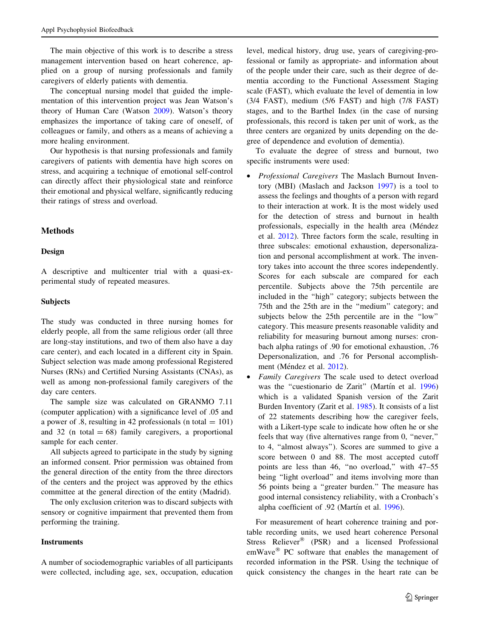The main objective of this work is to describe a stress management intervention based on heart coherence, applied on a group of nursing professionals and family caregivers of elderly patients with dementia.

The conceptual nursing model that guided the implementation of this intervention project was Jean Watson's theory of Human Care (Watson [2009\)](#page-8-0). Watson's theory emphasizes the importance of taking care of oneself, of colleagues or family, and others as a means of achieving a more healing environment.

Our hypothesis is that nursing professionals and family caregivers of patients with dementia have high scores on stress, and acquiring a technique of emotional self-control can directly affect their physiological state and reinforce their emotional and physical welfare, significantly reducing their ratings of stress and overload.

## **Methods**

#### Design

A descriptive and multicenter trial with a quasi-experimental study of repeated measures.

## Subjects

The study was conducted in three nursing homes for elderly people, all from the same religious order (all three are long-stay institutions, and two of them also have a day care center), and each located in a different city in Spain. Subject selection was made among professional Registered Nurses (RNs) and Certified Nursing Assistants (CNAs), as well as among non-professional family caregivers of the day care centers.

The sample size was calculated on GRANMO 7.11 (computer application) with a significance level of .05 and a power of .8, resulting in 42 professionals (n total  $= 101$ ) and 32 (n total  $= 68$ ) family caregivers, a proportional sample for each center.

All subjects agreed to participate in the study by signing an informed consent. Prior permission was obtained from the general direction of the entity from the three directors of the centers and the project was approved by the ethics committee at the general direction of the entity (Madrid).

The only exclusion criterion was to discard subjects with sensory or cognitive impairment that prevented them from performing the training.

## **Instruments**

A number of sociodemographic variables of all participants were collected, including age, sex, occupation, education level, medical history, drug use, years of caregiving-professional or family as appropriate- and information about of the people under their care, such as their degree of dementia according to the Functional Assessment Staging scale (FAST), which evaluate the level of dementia in low (3/4 FAST), medium (5/6 FAST) and high (7/8 FAST) stages, and to the Barthel Index (in the case of nursing professionals, this record is taken per unit of work, as the three centers are organized by units depending on the degree of dependence and evolution of dementia).

To evaluate the degree of stress and burnout, two specific instruments were used:

- Professional Caregivers The Maslach Burnout Inventory (MBI) (Maslach and Jackson [1997](#page-7-0)) is a tool to assess the feelings and thoughts of a person with regard to their interaction at work. It is the most widely used for the detection of stress and burnout in health professionals, especially in the health area (Méndez) et al. [2012](#page-7-0)). Three factors form the scale, resulting in three subscales: emotional exhaustion, depersonalization and personal accomplishment at work. The inventory takes into account the three scores independently. Scores for each subscale are compared for each percentile. Subjects above the 75th percentile are included in the ''high'' category; subjects between the 75th and the 25th are in the ''medium'' category; and subjects below the 25th percentile are in the ''low'' category. This measure presents reasonable validity and reliability for measuring burnout among nurses: cronbach alpha ratings of .90 for emotional exhaustion, .76 Depersonalization, and .76 for Personal accomplish-ment (Méndez et al. [2012\)](#page-7-0).
- Family Caregivers The scale used to detect overload was the "cuestionario de Zarit" (Martín et al. [1996\)](#page-7-0) which is a validated Spanish version of the Zarit Burden Inventory (Zarit et al. [1985](#page-8-0)). It consists of a list of 22 statements describing how the caregiver feels, with a Likert-type scale to indicate how often he or she feels that way (five alternatives range from 0, ''never,'' to 4, ''almost always''). Scores are summed to give a score between 0 and 88. The most accepted cutoff points are less than 46, ''no overload,'' with 47–55 being "light overload" and items involving more than 56 points being a ''greater burden.'' The measure has good internal consistency reliability, with a Cronbach's alpha coefficient of .92 (Martín et al. [1996](#page-7-0)).

For measurement of heart coherence training and portable recording units, we used heart coherence Personal Stress Reliever<sup>®</sup> (PSR) and a licensed Professional  $emWave^{\circledR}$  PC software that enables the management of recorded information in the PSR. Using the technique of quick consistency the changes in the heart rate can be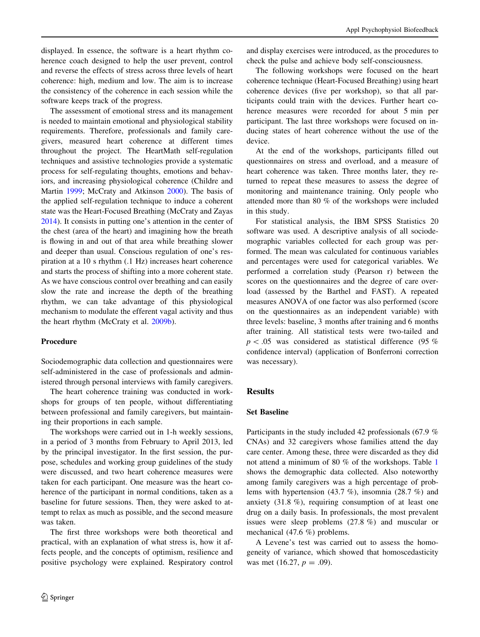displayed. In essence, the software is a heart rhythm coherence coach designed to help the user prevent, control and reverse the effects of stress across three levels of heart coherence: high, medium and low. The aim is to increase the consistency of the coherence in each session while the software keeps track of the progress.

The assessment of emotional stress and its management is needed to maintain emotional and physiological stability requirements. Therefore, professionals and family caregivers, measured heart coherence at different times throughout the project. The HeartMath self-regulation techniques and assistive technologies provide a systematic process for self-regulating thoughts, emotions and behaviors, and increasing physiological coherence (Childre and Martin [1999](#page-6-0); McCraty and Atkinson [2000\)](#page-7-0). The basis of the applied self-regulation technique to induce a coherent state was the Heart-Focused Breathing (McCraty and Zayas [2014\)](#page-7-0). It consists in putting one's attention in the center of the chest (area of the heart) and imagining how the breath is flowing in and out of that area while breathing slower and deeper than usual. Conscious regulation of one's respiration at a 10 s rhythm (.1 Hz) increases heart coherence and starts the process of shifting into a more coherent state. As we have conscious control over breathing and can easily slow the rate and increase the depth of the breathing rhythm, we can take advantage of this physiological mechanism to modulate the efferent vagal activity and thus the heart rhythm (McCraty et al. [2009b](#page-7-0)).

#### Procedure

Sociodemographic data collection and questionnaires were self-administered in the case of professionals and administered through personal interviews with family caregivers.

The heart coherence training was conducted in workshops for groups of ten people, without differentiating between professional and family caregivers, but maintaining their proportions in each sample.

The workshops were carried out in 1-h weekly sessions, in a period of 3 months from February to April 2013, led by the principal investigator. In the first session, the purpose, schedules and working group guidelines of the study were discussed, and two heart coherence measures were taken for each participant. One measure was the heart coherence of the participant in normal conditions, taken as a baseline for future sessions. Then, they were asked to attempt to relax as much as possible, and the second measure was taken.

The first three workshops were both theoretical and practical, with an explanation of what stress is, how it affects people, and the concepts of optimism, resilience and positive psychology were explained. Respiratory control

and display exercises were introduced, as the procedures to check the pulse and achieve body self-consciousness.

The following workshops were focused on the heart coherence technique (Heart-Focused Breathing) using heart coherence devices (five per workshop), so that all participants could train with the devices. Further heart coherence measures were recorded for about 5 min per participant. The last three workshops were focused on inducing states of heart coherence without the use of the device.

At the end of the workshops, participants filled out questionnaires on stress and overload, and a measure of heart coherence was taken. Three months later, they returned to repeat these measures to assess the degree of monitoring and maintenance training. Only people who attended more than 80 % of the workshops were included in this study.

For statistical analysis, the IBM SPSS Statistics 20 software was used. A descriptive analysis of all sociodemographic variables collected for each group was performed. The mean was calculated for continuous variables and percentages were used for categorical variables. We performed a correlation study (Pearson r) between the scores on the questionnaires and the degree of care overload (assessed by the Barthel and FAST). A repeated measures ANOVA of one factor was also performed (score on the questionnaires as an independent variable) with three levels: baseline, 3 months after training and 6 months after training. All statistical tests were two-tailed and  $p\lt 0.05$  was considered as statistical difference (95 %) confidence interval) (application of Bonferroni correction was necessary).

## Results

#### Set Baseline

Participants in the study included 42 professionals (67.9 % CNAs) and 32 caregivers whose families attend the day care center. Among these, three were discarded as they did not attend a minimum of 80 % of the workshops. Table [1](#page-4-0) shows the demographic data collected. Also noteworthy among family caregivers was a high percentage of problems with hypertension (43.7 %), insomnia (28.7 %) and anxiety (31.8 %), requiring consumption of at least one drug on a daily basis. In professionals, the most prevalent issues were sleep problems (27.8 %) and muscular or mechanical (47.6 %) problems.

A Levene's test was carried out to assess the homogeneity of variance, which showed that homoscedasticity was met  $(16.27, p = .09)$ .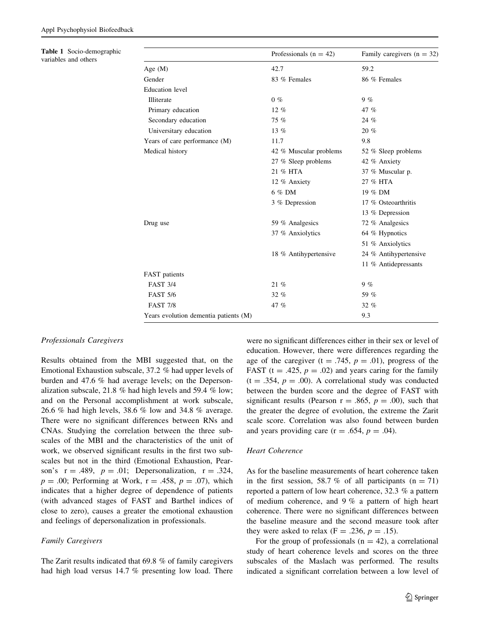Table 1 Socio-demographic

<span id="page-4-0"></span>

| Table 1 Socio-demographic<br>variables and others |                                       | Professionals ( $n = 42$ ) | Family caregivers $(n = 32)$ |
|---------------------------------------------------|---------------------------------------|----------------------------|------------------------------|
|                                                   | Age $(M)$                             | 42.7                       | 59.2                         |
|                                                   | Gender                                | 83 % Females               | 86 % Females                 |
|                                                   | <b>Education</b> level                |                            |                              |
|                                                   | Illiterate                            | $0\%$                      | 9%                           |
|                                                   | Primary education                     | $12 \%$                    | 47 %                         |
|                                                   | Secondary education                   | 75 %                       | 24 %                         |
|                                                   | Universitary education                | 13 $%$                     | 20%                          |
|                                                   | Years of care performance (M)         | 11.7                       | 9.8                          |
|                                                   | Medical history                       | 42 % Muscular problems     | 52 % Sleep problems          |
|                                                   |                                       | 27 % Sleep problems        | 42 % Anxiety                 |
|                                                   |                                       | 21 % HTA                   | 37 % Muscular p.             |
|                                                   |                                       | 12 % Anxiety               | 27 % HTA                     |
|                                                   |                                       | 6 % DM                     | 19 % DM                      |
|                                                   |                                       | 3 % Depression             | 17 % Osteoarthritis          |
|                                                   |                                       |                            | 13 % Depression              |
|                                                   | Drug use                              | 59 % Analgesics            | 72 % Analgesics              |
|                                                   |                                       | 37 % Anxiolytics           | 64 % Hypnotics               |
|                                                   |                                       |                            | 51 % Anxiolytics             |
|                                                   |                                       | 18 % Antihypertensive      | 24 % Antihypertensive        |
|                                                   |                                       |                            | 11 % Antidepressants         |
|                                                   | FAST patients                         |                            |                              |
|                                                   | <b>FAST 3/4</b>                       | $21 \%$                    | 9%                           |
|                                                   | <b>FAST 5/6</b>                       | 32%                        | 59 %                         |
|                                                   | <b>FAST 7/8</b>                       | 47 %                       | 32 %                         |
|                                                   | Years evolution dementia patients (M) |                            | 9.3                          |

#### Professionals Caregivers

Results obtained from the MBI suggested that, on the Emotional Exhaustion subscale, 37.2 % had upper levels of burden and 47.6 % had average levels; on the Depersonalization subscale, 21.8 % had high levels and 59.4 % low; and on the Personal accomplishment at work subscale, 26.6 % had high levels, 38.6 % low and 34.8 % average. There were no significant differences between RNs and CNAs. Studying the correlation between the three subscales of the MBI and the characteristics of the unit of work, we observed significant results in the first two subscales but not in the third (Emotional Exhaustion, Pearson's  $r = .489$ ,  $p = .01$ ; Depersonalization,  $r = .324$ ,  $p = .00$ ; Performing at Work,  $r = .458$ ,  $p = .07$ ), which indicates that a higher degree of dependence of patients (with advanced stages of FAST and Barthel indices of close to zero), causes a greater the emotional exhaustion and feelings of depersonalization in professionals.

#### Family Caregivers

The Zarit results indicated that 69.8 % of family caregivers had high load versus 14.7 % presenting low load. There

were no significant differences either in their sex or level of education. However, there were differences regarding the age of the caregiver  $(t = .745, p = .01)$ , progress of the FAST (t = .425,  $p = .02$ ) and years caring for the family  $(t = .354, p = .00)$ . A correlational study was conducted between the burden score and the degree of FAST with significant results (Pearson  $r = .865$ ,  $p = .00$ ), such that the greater the degree of evolution, the extreme the Zarit scale score. Correlation was also found between burden and years providing care  $(r = .654, p = .04)$ .

## Heart Coherence

As for the baseline measurements of heart coherence taken in the first session, 58.7 % of all participants  $(n = 71)$ reported a pattern of low heart coherence, 32.3 % a pattern of medium coherence, and 9 % a pattern of high heart coherence. There were no significant differences between the baseline measure and the second measure took after they were asked to relax  $(F = .236, p = .15)$ .

For the group of professionals  $(n = 42)$ , a correlational study of heart coherence levels and scores on the three subscales of the Maslach was performed. The results indicated a significant correlation between a low level of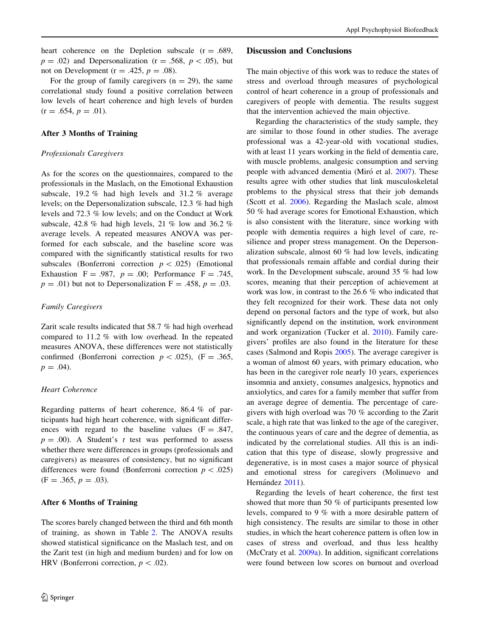heart coherence on the Depletion subscale  $(r = .689)$ .  $p = .02$ ) and Depersonalization (r = .568,  $p < .05$ ), but not on Development ( $r = .425$ ,  $p = .08$ ).

For the group of family caregivers  $(n = 29)$ , the same correlational study found a positive correlation between low levels of heart coherence and high levels of burden  $(r = .654, p = .01).$ 

## After 3 Months of Training

#### Professionals Caregivers

As for the scores on the questionnaires, compared to the professionals in the Maslach, on the Emotional Exhaustion subscale, 19.2 % had high levels and 31.2 % average levels; on the Depersonalization subscale, 12.3 % had high levels and 72.3 % low levels; and on the Conduct at Work subscale, 42.8 % had high levels, 21 % low and 36.2 % average levels. A repeated measures ANOVA was performed for each subscale, and the baseline score was compared with the significantly statistical results for two subscales (Bonferroni correction  $p < .025$ ) (Emotional Exhaustion  $F = .987$ ,  $p = .00$ ; Performance  $F = .745$ ,  $p = .01$ ) but not to Depersonalization F = .458,  $p = .03$ .

## Family Caregivers

Zarit scale results indicated that 58.7 % had high overhead compared to 11.2 % with low overhead. In the repeated measures ANOVA, these differences were not statistically confirmed (Bonferroni correction  $p < .025$ ), (F = .365,  $p = .04$ ).

#### Heart Coherence

Regarding patterns of heart coherence, 86.4 % of participants had high heart coherence, with significant differences with regard to the baseline values  $(F = .847,$  $p = .00$ . A Student's t test was performed to assess whether there were differences in groups (professionals and caregivers) as measures of consistency, but no significant differences were found (Bonferroni correction  $p < .025$ )  $(F = .365, p = .03)$ .

#### After 6 Months of Training

The scores barely changed between the third and 6th month of training, as shown in Table [2](#page-6-0). The ANOVA results showed statistical significance on the Maslach test, and on the Zarit test (in high and medium burden) and for low on HRV (Bonferroni correction,  $p < .02$ ).

## Discussion and Conclusions

The main objective of this work was to reduce the states of stress and overload through measures of psychological control of heart coherence in a group of professionals and caregivers of people with dementia. The results suggest that the intervention achieved the main objective.

Regarding the characteristics of the study sample, they are similar to those found in other studies. The average professional was a 42-year-old with vocational studies, with at least 11 years working in the field of dementia care, with muscle problems, analgesic consumption and serving people with advanced dementia (Miró et al. [2007\)](#page-7-0). These results agree with other studies that link musculoskeletal problems to the physical stress that their job demands (Scott et al. [2006\)](#page-8-0). Regarding the Maslach scale, almost 50 % had average scores for Emotional Exhaustion, which is also consistent with the literature, since working with people with dementia requires a high level of care, resilience and proper stress management. On the Depersonalization subscale, almost 60 % had low levels, indicating that professionals remain affable and cordial during their work. In the Development subscale, around 35 % had low scores, meaning that their perception of achievement at work was low, in contrast to the 26.6 % who indicated that they felt recognized for their work. These data not only depend on personal factors and the type of work, but also significantly depend on the institution, work environment and work organization (Tucker et al. [2010](#page-8-0)). Family caregivers' profiles are also found in the literature for these cases (Salmond and Ropis [2005\)](#page-8-0). The average caregiver is a woman of almost 60 years, with primary education, who has been in the caregiver role nearly 10 years, experiences insomnia and anxiety, consumes analgesics, hypnotics and anxiolytics, and cares for a family member that suffer from an average degree of dementia. The percentage of caregivers with high overload was 70 % according to the Zarit scale, a high rate that was linked to the age of the caregiver, the continuous years of care and the degree of dementia, as indicated by the correlational studies. All this is an indication that this type of disease, slowly progressive and degenerative, is in most cases a major source of physical and emotional stress for caregivers (Molinuevo and Hernández [2011\)](#page-7-0).

Regarding the levels of heart coherence, the first test showed that more than 50 % of participants presented low levels, compared to 9 % with a more desirable pattern of high consistency. The results are similar to those in other studies, in which the heart coherence pattern is often low in cases of stress and overload, and thus less healthy (McCraty et al. [2009a\)](#page-7-0). In addition, significant correlations were found between low scores on burnout and overload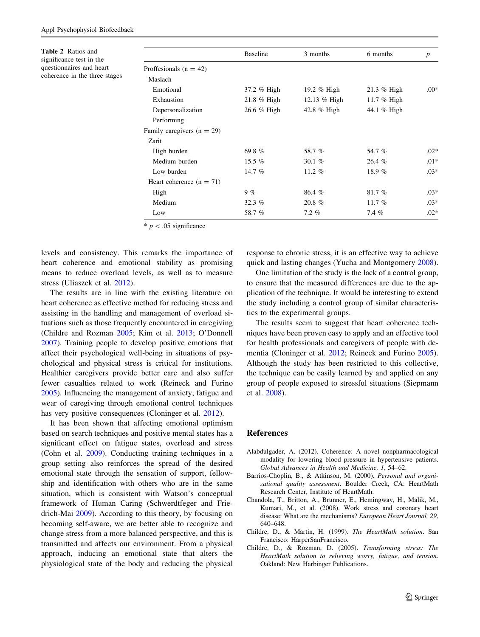<span id="page-6-0"></span>Table 2 Ratios and significance test in the questionnaires and heart coherence in the three stages

|                              | <b>Baseline</b> | 3 months       | 6 months       | $\boldsymbol{p}$ |  |
|------------------------------|-----------------|----------------|----------------|------------------|--|
| Proffesionals ( $n = 42$ )   |                 |                |                |                  |  |
| Maslach                      |                 |                |                |                  |  |
| Emotional                    | $37.2 \%$ High  | 19.2 $%$ High  | $21.3 \%$ High | $.00*$           |  |
| Exhaustion                   | 21.8 $%$ High   | 12.13 $%$ High | 11.7 $%$ High  |                  |  |
| Depersonalization            | $26.6 \%$ High  | 42.8 $%$ High  | 44.1 % High    |                  |  |
| Performing                   |                 |                |                |                  |  |
| Family caregivers $(n = 29)$ |                 |                |                |                  |  |
| Zarit                        |                 |                |                |                  |  |
| High burden                  | 69.8 $%$        | 58.7 %         | 54.7 %         | $.02*$           |  |
| Medium burden                | 15.5 $%$        | 30.1 $%$       | 26.4%          | $.01*$           |  |
| Low burden                   | 14.7 $%$        | 11.2 $%$       | 18.9 $%$       | $.03*$           |  |
| Heart coherence $(n = 71)$   |                 |                |                |                  |  |
| High                         | 9%              | 86.4%          | 81.7%          | $.03*$           |  |
| Medium                       | 32.3 $%$        | $20.8\%$       | 11.7 $%$       | $.03*$           |  |
| Low                          | 58.7 %          | $7.2\%$        | $7.4\%$        | $.02*$           |  |
|                              |                 |                |                |                  |  |

 $* p < .05$  significance

levels and consistency. This remarks the importance of heart coherence and emotional stability as promising means to reduce overload levels, as well as to measure stress (Uliaszek et al. [2012\)](#page-8-0).

The results are in line with the existing literature on heart coherence as effective method for reducing stress and assisting in the handling and management of overload situations such as those frequently encountered in caregiving (Childre and Rozman 2005; Kim et al. [2013](#page-7-0); O'Donnell [2007\)](#page-7-0). Training people to develop positive emotions that affect their psychological well-being in situations of psychological and physical stress is critical for institutions. Healthier caregivers provide better care and also suffer fewer casualties related to work (Reineck and Furino [2005\)](#page-7-0). Influencing the management of anxiety, fatigue and wear of caregiving through emotional control techniques has very positive consequences (Cloninger et al. [2012](#page-7-0)).

It has been shown that affecting emotional optimism based on search techniques and positive mental states has a significant effect on fatigue states, overload and stress (Cohn et al. [2009\)](#page-7-0). Conducting training techniques in a group setting also reinforces the spread of the desired emotional state through the sensation of support, fellowship and identification with others who are in the same situation, which is consistent with Watson's conceptual framework of Human Caring (Schwerdtfeger and Friedrich-Mai [2009](#page-8-0)). According to this theory, by focusing on becoming self-aware, we are better able to recognize and change stress from a more balanced perspective, and this is transmitted and affects our environment. From a physical approach, inducing an emotional state that alters the physiological state of the body and reducing the physical response to chronic stress, it is an effective way to achieve quick and lasting changes (Yucha and Montgomery [2008](#page-8-0)).

One limitation of the study is the lack of a control group, to ensure that the measured differences are due to the application of the technique. It would be interesting to extend the study including a control group of similar characteristics to the experimental groups.

The results seem to suggest that heart coherence techniques have been proven easy to apply and an effective tool for health professionals and caregivers of people with dementia (Cloninger et al. [2012;](#page-7-0) Reineck and Furino [2005](#page-7-0)). Although the study has been restricted to this collective, the technique can be easily learned by and applied on any group of people exposed to stressful situations (Siepmann et al. [2008\)](#page-8-0).

#### References

- Alabdulgader, A. (2012). Coherence: A novel nonpharmacological modality for lowering blood pressure in hypertensive patients. Global Advances in Health and Medicine, 1, 54–62.
- Barrios-Choplin, B., & Atkinson, M. (2000). Personal and organizational quality assessment. Boulder Creek, CA: HeartMath Research Center, Institute of HeartMath.
- Chandola, T., Britton, A., Brunner, E., Hemingway, H., Malik, M., Kumari, M., et al. (2008). Work stress and coronary heart disease: What are the mechanisms? European Heart Journal, 29, 640–648.
- Childre, D., & Martin, H. (1999). The HeartMath solution. San Francisco: HarperSanFrancisco.
- Childre, D., & Rozman, D. (2005). Transforming stress: The HeartMath solution to relieving worry, fatigue, and tension. Oakland: New Harbinger Publications.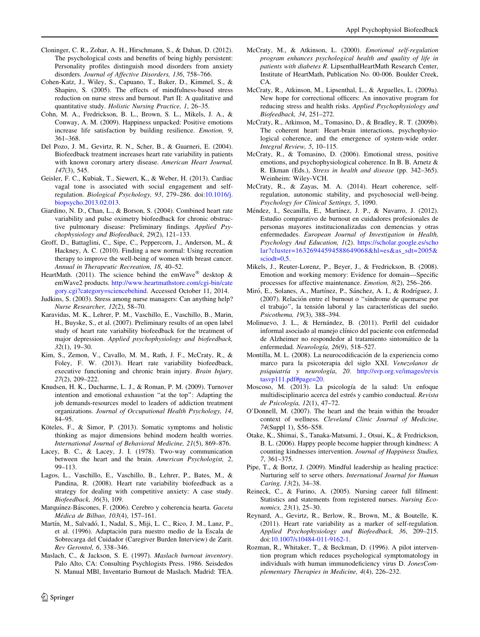- <span id="page-7-0"></span>Cloninger, C. R., Zohar, A. H., Hirschmann, S., & Dahan, D. (2012). The psychological costs and benefits of being highly persistent: Personality profiles distinguish mood disorders from anxiety disorders. Journal of Affective Disorders, 136, 758–766.
- Cohen-Katz, J., Wiley, S., Capuano, T., Baker, D., Kimmel, S., & Shapiro, S. (2005). The effects of mindfulness-based stress reduction on nurse stress and burnout. Part II: A qualitative and quantitative study. Holistic Nursing Practice, 1, 26–35.
- Cohn, M. A., Fredrickson, B. L., Brown, S. L., Mikels, J. A., & Conway, A. M. (2009). Happiness unpacked: Positive emotions increase life satisfaction by building resilience. Emotion, 9, 361–368.
- Del Pozo, J. M., Gevirtz, R. N., Scher, B., & Guarneri, E. (2004). Biofeedback treatment increases heart rate variability in patients with known coronary artery disease. American Heart Journal, 147(3), 545.
- Geisler, F. C., Kubiak, T., Siewert, K., & Weber, H. (2013). Cardiac vagal tone is associated with social engagement and selfregulation. Biological Psychology, 93, 279–286. doi:[10.1016/j.](http://dx.doi.org/10.1016/j.biopsycho.2013.02.013) [biopsycho.2013.02.013](http://dx.doi.org/10.1016/j.biopsycho.2013.02.013).
- Giardino, N. D., Chan, L., & Borson, S. (2004). Combined heart rate variability and pulse oximetry biofeedback for chronic obstructive pulmonary disease: Preliminary findings. Applied Psychophysiology and Biofeedback, 29(2), 121–133.
- Groff, D., Battaglini, C., Sipe, C., Peppercorn, J., Anderson, M., & Hackney, A. C. (2010). Finding a new normal: Using recreation therapy to improve the well-being of women with breast cancer. Annual in Therapeutic Recreation, 18, 40–52.
- HeartMath. (2011). The science behind the emWave® desktop  $\&$ emWave2 products. [http://www.heartmathstore.com/cgi-bin/cate](http://www.heartmathstore.com/cgi-bin/category.cgi?category=sciencebehind) [gory.cgi?category=sciencebehind](http://www.heartmathstore.com/cgi-bin/category.cgi?category=sciencebehind). Accessed October 11, 2014.
- Judkins, S. (2003). Stress among nurse managers: Can anything help? Nurse Researcher, 12(2), 58–70.
- Karavidas, M. K., Lehrer, P. M., Vaschillo, E., Vaschillo, B., Marin, H., Buyske, S., et al. (2007). Preliminary results of an open label study of heart rate variability biofeedback for the treatment of major depression. Applied psychophysiology and biofeedback, 32(1), 19–30.
- Kim, S., Zemon, V., Cavallo, M. M., Rath, J. F., McCraty, R., & Foley, F. W. (2013). Heart rate variability biofeedback, executive functioning and chronic brain injury. Brain Injury, 27(2), 209–222.
- Knudsen, H. K., Ducharme, L. J., & Roman, P. M. (2009). Turnover intention and emotional exhaustion ''at the top'': Adapting the job demands-resources model to leaders of addiction treatment organizations. Journal of Occupational Health Psychology, 14, 84–95.
- Köteles, F., & Simor, P. (2013). Somatic symptoms and holistic thinking as major dimensions behind modern health worries. International Journal of Behavioral Medicine, 21(5), 869–876.
- Lacey, B. C., & Lacey, J. I. (1978). Two-way communication between the heart and the brain. American Psychologist, 2, 99–113.
- Lagos, L., Vaschillo, E., Vaschillo, B., Lehrer, P., Bates, M., & Pandina, R. (2008). Heart rate variability biofeedback as a strategy for dealing with competitive anxiety: A case study. Biofeedback, 36(3), 109.
- Marquínez-Báscones, F. (2006). Cerebro y coherencia hearta. Gaceta Médica de Bilbao, 103(4), 157-161.
- Martín, M., Salvadó, I., Nadal, S., Miji, L. C., Rico, J. M., Lanz, P., et al. (1996). Adaptación para nuestro medio de la Escala de Sobrecarga del Cuidador (Caregiver Burden Interview) de Zarit. Rev Gerontol, 6, 338–346.
- Maslach, C., & Jackson, S. E. (1997). Maslach burnout inventory. Palo Alto, CA: Consulting Psychlogists Press. 1986. Seisdedos N. Manual MBl, Inventario Burnout de Maslach. Madrid: TEA.
- McCraty, M., & Atkinson, L. (2000). Emotional self-regulation program enhances psychological health and quality of life in patients with diabetes R. LipsenthalHeartMath Research Center, Institute of HeartMath, Publication No. 00-006. Boulder Creek, CA.
- McCraty, R., Atkinson, M., Lipsenthal, L., & Arguelles, L. (2009a). New hope for correctional officers: An innovative program for reducing stress and health risks. Applied Psychophysiology and Biofeedback, 34, 251–272.
- McCraty, R., Atkinson, M., Tomasino, D., & Bradley, R. T. (2009b). The coherent heart: Heart-brain interactions, psychophysiological coherence, and the emergence of system-wide order. Integral Review, 5, 10–115.
- McCraty, R., & Tomasino, D. (2006). Emotional stress, positive emotions, and psychophysiological coherence. In B. B. Arnetz & R. Ekman (Eds.), Stress in health and disease (pp. 342–365). Weinheim: Wiley-VCH.
- McCraty, R., & Zayas, M. A. (2014). Heart coherence, selfregulation, autonomic stability, and psychosocial well-being. Psychology for Clinical Settings, 5, 1090.
- Méndez, I., Secanilla, E., Martínez, J. P., & Navarro, J. (2012). Estudio comparativo de burnout en cuidadores profesionales de personas mayores institucionalizadas con demencias y otras enfermedades. European Journal of Investigation in Health, Psychology And Education, 1(2). [https://scholar.google.es/scho](https://scholar.google.es/scholar?cluster=16326944594588649068&hl=es&as_sdt=2005&sciodt=0,5) [lar?cluster=16326944594588649068&hl=es&as\\_sdt=2005&](https://scholar.google.es/scholar?cluster=16326944594588649068&hl=es&as_sdt=2005&sciodt=0,5)  $sciodt=0.5$ .
- Mikels, J., Reuter-Lorenz, P., Beyer, J., & Fredrickson, B. (2008). Emotion and working memory: Evidence for domain—Specific processes for affective maintenance. Emotion, 8(2), 256–266.
- Miró, E., Solanes, A., Martínez, P., Sánchez, A. I., & Rodríguez, J. (2007). Relación entre el burnout o "síndrome de quemarse por el trabajo", la tensión laboral y las características del sueño. Psicothema, 19(3), 388–394.
- Molinuevo, J. L., & Hernández, B. (2011). Perfil del cuidador informal asociado al manejo clínico del paciente con enfermedad de Alzheimer no respondedor al tratamiento sintomático de la enfermedad. Neurología, 26(9), 518-527.
- Montilla, M. L. (2008). La neurocodificación de la experiencia como marco para la psicoterapia del siglo XXI. Venezolanos de psiquiatría y neurología, 20. [http://svp.org.ve/images/revis](http://svp.org.ve/images/revistasvp111.pdf#page=20) [tasvp111.pdf#page=20.](http://svp.org.ve/images/revistasvp111.pdf#page=20)
- Moscoso, M. (2013). La psicología de la salud: Un enfoque multidisciplinario acerca del estrés y cambio conductual. Revista de Psicología, 12(1), 47-72.
- O'Donnell, M. (2007). The heart and the brain within the broader context of wellness. Cleveland Clinic Journal of Medicine, 74(Suppl 1), S56–S58.
- Otake, K., Shimai, S., Tanaka-Matsumi, J., Otsui, K., & Fredrickson, B. L. (2006). Happy people become happier through kindness: A counting kindnesses intervention. Journal of Happiness Studies, 7, 361–375.
- Pipe, T., & Bortz, J. (2009). Mindful leadership as healing practice: Nurturing self to serve others. International Journal for Human Caring, 13(2), 34–38.
- Reineck, C., & Furino, A. (2005). Nursing career full fillment: Statistics and statements from registered nurses. Nursing Economics, 23(1), 25–30.
- Reynard, A., Gevirtz, R., Berlow, R., Brown, M., & Boutelle, K. (2011). Heart rate variability as a marker of self-regulation. Applied Psychophysiology and Biofeedback, 36, 209–215. doi[:10.1007/s10484-011-9162-1](http://dx.doi.org/10.1007/s10484-011-9162-1).
- Rozman, R., Whitaker, T., & Beckman, D. (1996). A pilot intervention program which reduces psychological symptomatology in individuals with human immunodeficiency virus D. JonesComplementary Therapies in Medicine, 4(4), 226–232.